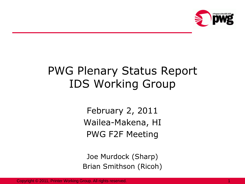

## PWG Plenary Status Report IDS Working Group

February 2, 2011 Wailea-Makena, HI PWG F2F Meeting

Joe Murdock (Sharp) Brian Smithson (Ricoh)

Copyright © 2011, Printer Working Group. All rights reserved. 1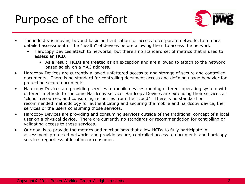### Purpose of the effort



- The industry is moving beyond basic authentication for access to corporate networks to a more detailed assessment of the "health" of devices before allowing them to access the network.
	- Hardcopy Devices attach to networks, but there's no standard set of metrics that is used to assess an HCD.
		- As a result, HCDs are treated as an exception and are allowed to attach to the network based solely on a MAC address.
- Hardcopy Devices are currently allowed unfettered access to and storage of secure and controlled documents. There is no standard for controlling document access and defining usage behavior for protecting secure documents.
- Hardcopy Devices are providing services to mobile devices running different operating system with different methods to consume Hardcopy service. Hardcopy Devices are extending their services as "cloud" resources, and consuming resources from the "cloud". There is no standard or recommended methodology for authenticating and securing the mobile and hardcopy device, their services or the users consuming those services.
- Hardcopy Devices are providing and consuming services outside of the traditional concept of a local user on a physical device. There are currently no standards or recommendation for controlling or validating access to these services.
- Our goal is to provide the metrics and mechanisms that allow HCDs to fully participate in assessment-protected networks and provide secure, controlled access to documents and hardcopy services regardless of location or consumer.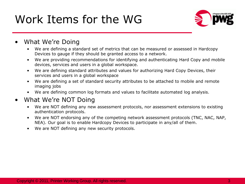# Work Items for the WG



- What We're Doing
	- We are defining a standard set of metrics that can be measured or assessed in Hardcopy Devices to gauge if they should be granted access to a network.
	- We are providing recommendations for identifying and authenticating Hard Copy and mobile devices, services and users in a global workspace.
	- We are defining standard attributes and values for authorizing Hard Copy Devices, their services and users in a global workspace
	- We are defining a set of standard security attributes to be attached to mobile and remote imaging jobs
	- We are defining common log formats and values to facilitate automated log analysis.

#### • What We're NOT Doing

- We are NOT defining any new assessment protocols, nor assessment extensions to existing authentication protocols.
- We are NOT endorsing any of the competing network assessment protocols (TNC, NAC, NAP, NEA). Our goal is to enable Hardcopy Devices to participate in any/all of them.
- We are NOT defining any new security protocols.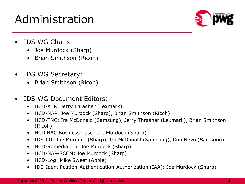# Administration



- IDS WG Chairs
	- Joe Murdock (Sharp)
	- Brian Smithson (Ricoh)
- IDS WG Secretary:
	- Brian Smithson (Ricoh)
- IDS WG Document Editors:
	- HCD-ATR: Jerry Thrasher (Lexmark)
	- HCD-NAP: Joe Murdock (Sharp), Brian Smithson (Ricoh)
	- HCD-TNC: Ira McDonald (Samsung), Jerry Thrasher (Lexmark), Brian Smithson (Ricoh)
	- HCD NAC Business Case: Joe Murdock (Sharp)
	- IDS-CR: Joe Murdock (Sharp), Ira McDonald (Samsung), Ron Nevo (Samsung)
	- HCD-Remediation: Joe Murdock (Sharp)
	- HCD-NAP-SCCM: Joe Murdock (Sharp)
	- HCD-Log: Mike Sweet (Apple)
	- IDS-Identification-Authentication-Authorization (IAA): Joe Murdock (Sharp)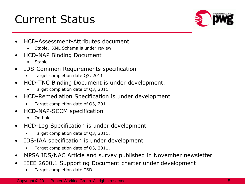## Current Status



- HCD-Assessment-Attributes document
	- Stable. XML Schema is under review
- HCD-NAP Binding Document
	- Stable.
- IDS-Common Requirements specification
	- Target completion date Q3, 2011
- HCD-TNC Binding Document is under development.
	- Target completion date of Q3, 2011.
- HCD-Remediation Specification is under development
	- Target completion date of Q3, 2011.
- HCD-NAP-SCCM specification
	- On hold
- HCD-Log Specification is under development
	- Target completion date of Q3, 2011.
- IDS-IAA specification is under development
	- Target completion date of Q3, 2011.
- MPSA IDS/NAC Article and survey published in November newsletter
- IEEE 2600.1 Supporting Document charter under development
	- Target completion date TBD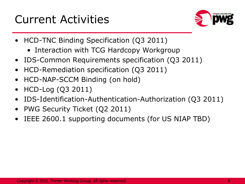## Current Activities



- HCD-TNC Binding Specification (Q3 2011)
	- Interaction with TCG Hardcopy Workgroup
- IDS-Common Requirements specification (Q3 2011)
- HCD-Remediation specification (Q3 2011)
- HCD-NAP-SCCM Binding (on hold)
- HCD-Log (Q3 2011)
- IDS-Identification-Authentication-Authorization (Q3 2011)
- PWG Security Ticket (Q2 2011)
- IEEE 2600.1 supporting documents (for US NIAP TBD)